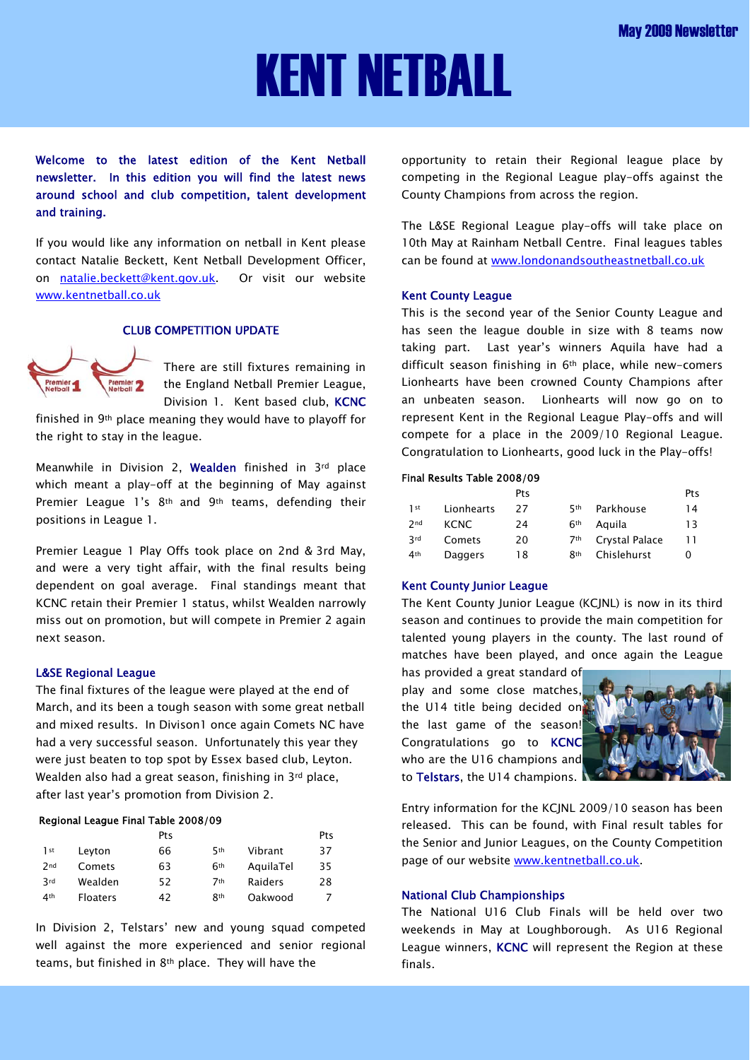# KENT NETBALL

Welcome to the latest edition of the Kent Netball newsletter. In this edition you will find the latest news around school and club competition, talent development and training.

If you would like any information on netball in Kent please contact Natalie Beckett, Kent Netball Development Officer, on [natalie.beckett@kent.gov.uk](mailto:natalie.beckett@kent.gov.uk). Or visit our website [www.kentnetball.co.uk](http://www.kentnetball.co.uk/)

# CLUB COMPETITION UPDATE



There are still fixtures remaining in the England Netball Premier League, Division 1. Kent based club, KCNC

finished in 9th place meaning they would have to playoff for the right to stay in the league.

Meanwhile in Division 2, Wealden finished in 3rd place which meant a play-off at the beginning of May against Premier League 1's 8<sup>th</sup> and 9<sup>th</sup> teams, defending their positions in League 1.

Premier League 1 Play Offs took place on 2nd & 3rd May, and were a very tight affair, with the final results being dependent on goal average. Final standings meant that KCNC retain their Premier 1 status, whilst Wealden narrowly miss out on promotion, but will compete in Premier 2 again next season.

### L&SE Regional League

The final fixtures of the league were played at the end of March, and its been a tough season with some great netball and mixed results. In Divison1 once again Comets NC have had a very successful season. Unfortunately this year they were just beaten to top spot by Essex based club, Leyton. Wealden also had a great season, finishing in 3rd place, after last year's promotion from Division 2.

### Regional League Final Table 2008/09

|                 |                 | Pts |                 |           | Pts |
|-----------------|-----------------|-----|-----------------|-----------|-----|
| 1 <sub>st</sub> | Leyton          | 66  | 5th             | Vibrant   | 37  |
| 2 <sub>nd</sub> | Comets          | 63  | 6 <sup>th</sup> | AquilaTel | 35  |
| 3rd             | Wealden         | 52  | 7 <sub>th</sub> | Raiders   | 28  |
| 4 <sup>th</sup> | <b>Floaters</b> | 42  | <b>8th</b>      | Oakwood   |     |

In Division 2, Telstars' new and young squad competed well against the more experienced and senior regional teams, but finished in 8th place. They will have the

opportunity to retain their Regional league place by competing in the Regional League play-offs against the County Champions from across the region.

The L&SE Regional League play-offs will take place on 10th May at Rainham Netball Centre. Final leagues tables can be found at [www.londonandsoutheastnetball.co.uk](http://www.londonandsoutheastnetball.co.uk/) 

#### Kent County League

This is the second year of the Senior County League and has seen the league double in size with 8 teams now taking part. Last year's winners Aquila have had a difficult season finishing in 6th place, while new-comers Lionhearts have been crowned County Champions after an unbeaten season. Lionhearts will now go on to represent Kent in the Regional League Play-offs and will compete for a place in the 2009/10 Regional League. Congratulation to Lionhearts, good luck in the Play-offs!

#### Final Results Table 2008/09

|                 |             | Pts |                 |                | Pts |
|-----------------|-------------|-----|-----------------|----------------|-----|
| 1 st            | Lionhearts  | 27  | 5th             | Parkhouse      | 14  |
| 2 <sub>nd</sub> | <b>KCNC</b> | 24  | 6 <sup>th</sup> | Aauila         | 13  |
| <b>3rd</b>      | Comets      | 20  | 7th             | Crystal Palace | 11  |
| 4 <sup>th</sup> | Daggers     | 18  | <b>Rth</b>      | Chislehurst    | O   |

### Kent County Junior League

The Kent County Junior League (KCJNL) is now in its third season and continues to provide the main competition for talented young players in the county. The last round of matches have been played, and once again the League

has provided a great standard of play and some close matches the U14 title being decided on the last game of the season! Congratulations go to KCNC who are the U16 champions and to Telstars, the U14 champions.



Entry information for the KCJNL 2009/10 season has been released. This can be found, with Final result tables for the Senior and Junior Leagues, on the County Competition page of our website [www.kentnetball.co.uk.](http://www.kentnetball.co.uk/)

### National Club Championships

The National U16 Club Finals will be held over two weekends in May at Loughborough. As U16 Regional League winners, KCNC will represent the Region at these finals.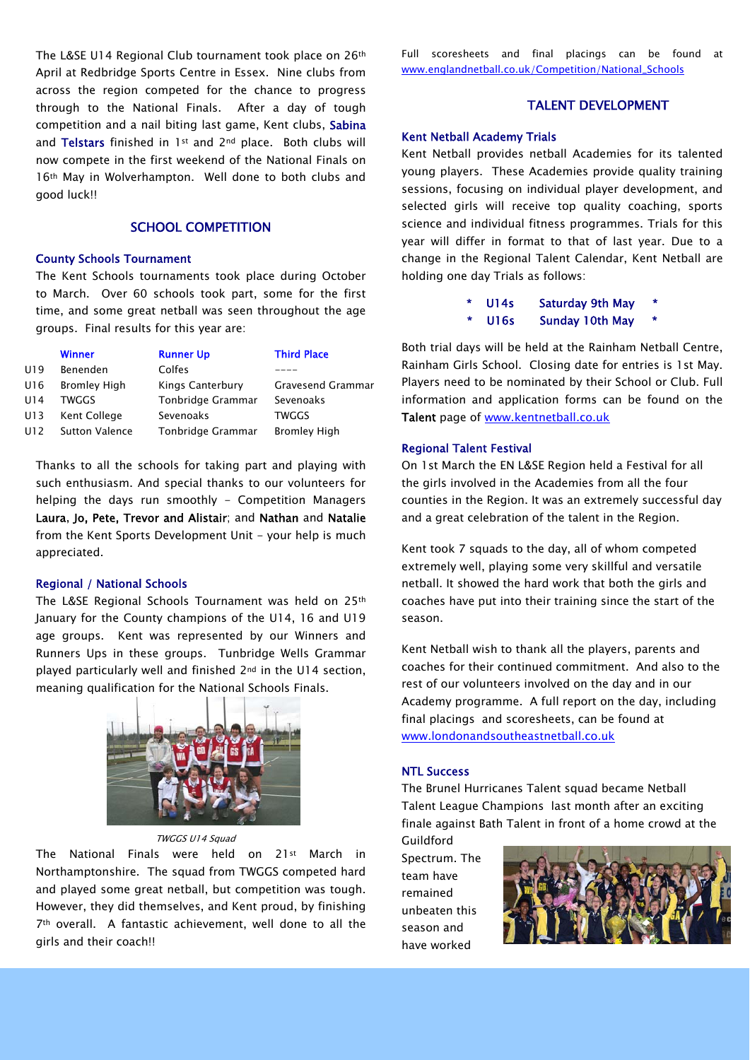The L&SE U14 Regional Club tournament took place on 26th April at Redbridge Sports Centre in Essex. Nine clubs from across the region competed for the chance to progress through to the National Finals. After a day of tough competition and a nail biting last game, Kent clubs, Sabina and Telstars finished in 1<sup>st</sup> and 2<sup>nd</sup> place. Both clubs will now compete in the first weekend of the National Finals on 16th May in Wolverhampton. Well done to both clubs and good luck!!

# SCHOOL COMPETITION

#### County Schools Tournament

The Kent Schools tournaments took place during October to March. Over 60 schools took part, some for the first time, and some great netball was seen throughout the age groups. Final results for this year are:

|     | <b>Winner</b>         | <b>Runner Up</b>  | <b>Third Place</b>  |
|-----|-----------------------|-------------------|---------------------|
| U19 | Benenden              | Colfes            |                     |
| U16 | <b>Bromley High</b>   | Kings Canterbury  | Gravesend Grammar   |
| U14 | TWGGS                 | Tonbridge Grammar | Sevenoaks           |
| U13 | Kent College          | Sevenoaks         | TWGGS               |
| U12 | <b>Sutton Valence</b> | Tonbridge Grammar | <b>Bromley High</b> |
|     |                       |                   |                     |

Thanks to all the schools for taking part and playing with such enthusiasm. And special thanks to our volunteers for helping the days run smoothly - Competition Managers Laura, Jo, Pete, Trevor and Alistair; and Nathan and Natalie from the Kent Sports Development Unit - your help is much appreciated.

#### Regional / National Schools

The L&SE Regional Schools Tournament was held on 25th January for the County champions of the U14, 16 and U19 age groups. Kent was represented by our Winners and Runners Ups in these groups. Tunbridge Wells Grammar played particularly well and finished 2nd in the U14 section, meaning qualification for the National Schools Finals.



TWGGS U14 Sauad

The National Finals were held on 21st March in Northamptonshire. The squad from TWGGS competed hard and played some great netball, but competition was tough. However, they did themselves, and Kent proud, by finishing 7th overall. A fantastic achievement, well done to all the girls and their coach!!

Full scoresheets and final placings can be found at [www.englandnetball.co.uk/Competition/National\\_Schools](http://www.englandnetball.co.uk/Competition/National_Schools)

#### TALENT DEVELOPMENT

#### Kent Netball Academy Trials

Kent Netball provides netball Academies for its talented young players. These Academies provide quality training sessions, focusing on individual player development, and selected girls will receive top quality coaching, sports science and individual fitness programmes. Trials for this year will differ in format to that of last year. Due to a change in the Regional Talent Calendar, Kent Netball are holding one day Trials as follows:

U14s Saturday 9th May

U16s Sunday 10th May

Both trial days will be held at the Rainham Netball Centre, Rainham Girls School. Closing date for entries is 1st May. Players need to be nominated by their School or Club. Full information and application forms can be found on the Talent page of [www.kentnetball.co.uk](http://www.kentnetball.co.uk/)

#### Regional Talent Festival

On 1st March the EN L&SE Region held a Festival for all the girls involved in the Academies from all the four counties in the Region. It was an extremely successful day and a great celebration of the talent in the Region.

Kent took 7 squads to the day, all of whom competed extremely well, playing some very skillful and versatile netball. It showed the hard work that both the girls and coaches have put into their training since the start of the season.

Kent Netball wish to thank all the players, parents and coaches for their continued commitment. And also to the rest of our volunteers involved on the day and in our Academy programme. A full report on the day, including final placings and scoresheets, can be found at [www.londonandsoutheastnetball.co.uk](http://www.londonandsoutheastnetball.co.uk/)

#### NTL Success

The Brunel Hurricanes Talent squad became Netball Talent League Champions last month after an exciting finale against Bath Talent in front of a home crowd at the

Guildford Spectrum. The team have remained unbeaten this season and have worked